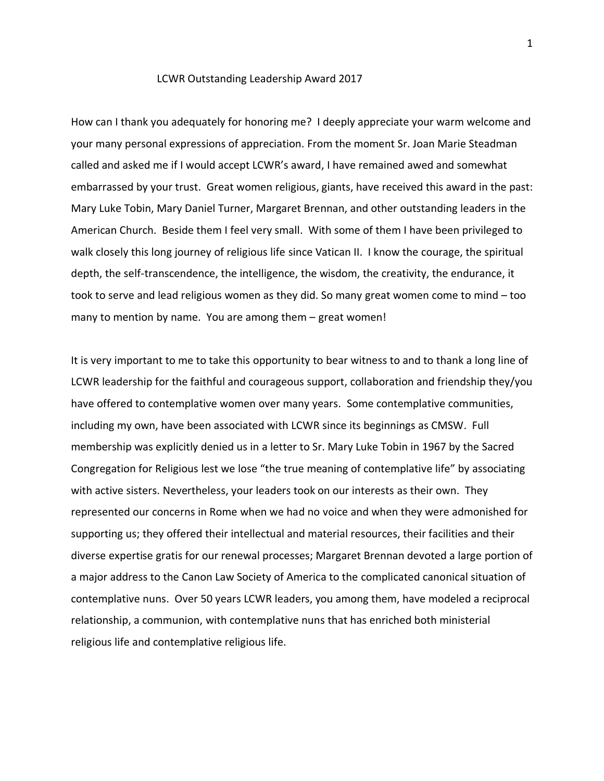## LCWR Outstanding Leadership Award 2017

How can I thank you adequately for honoring me? I deeply appreciate your warm welcome and your many personal expressions of appreciation. From the moment Sr. Joan Marie Steadman called and asked me if I would accept LCWR's award, I have remained awed and somewhat embarrassed by your trust. Great women religious, giants, have received this award in the past: Mary Luke Tobin, Mary Daniel Turner, Margaret Brennan, and other outstanding leaders in the American Church. Beside them I feel very small. With some of them I have been privileged to walk closely this long journey of religious life since Vatican II. I know the courage, the spiritual depth, the self-transcendence, the intelligence, the wisdom, the creativity, the endurance, it took to serve and lead religious women as they did. So many great women come to mind – too many to mention by name. You are among them – great women!

It is very important to me to take this opportunity to bear witness to and to thank a long line of LCWR leadership for the faithful and courageous support, collaboration and friendship they/you have offered to contemplative women over many years. Some contemplative communities, including my own, have been associated with LCWR since its beginnings as CMSW. Full membership was explicitly denied us in a letter to Sr. Mary Luke Tobin in 1967 by the Sacred Congregation for Religious lest we lose "the true meaning of contemplative life" by associating with active sisters. Nevertheless, your leaders took on our interests as their own. They represented our concerns in Rome when we had no voice and when they were admonished for supporting us; they offered their intellectual and material resources, their facilities and their diverse expertise gratis for our renewal processes; Margaret Brennan devoted a large portion of a major address to the Canon Law Society of America to the complicated canonical situation of contemplative nuns. Over 50 years LCWR leaders, you among them, have modeled a reciprocal relationship, a communion, with contemplative nuns that has enriched both ministerial religious life and contemplative religious life.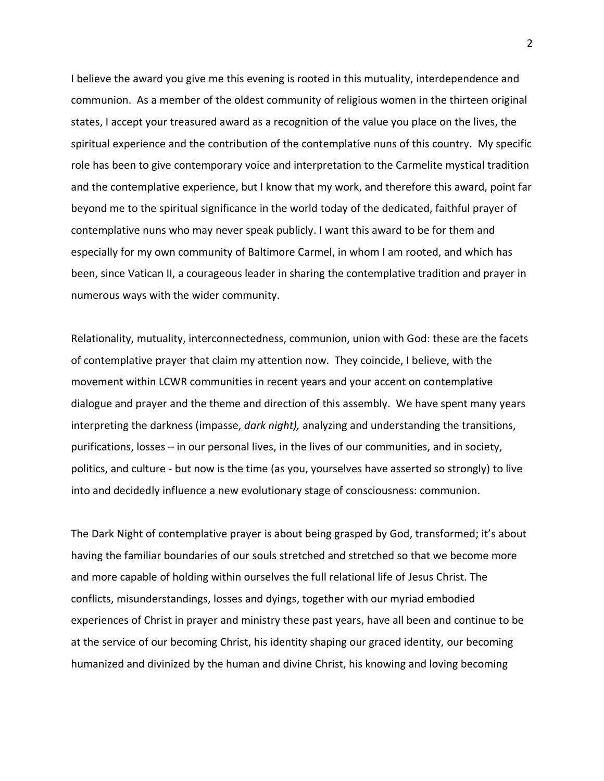I believe the award you give me this evening is rooted in this mutuality, interdependence and communion. As a member of the oldest community of religious women in the thirteen original states, I accept your treasured award as a recognition of the value you place on the lives, the spiritual experience and the contribution of the contemplative nuns of this country. My specific role has been to give contemporary voice and interpretation to the Carmelite mystical tradition and the contemplative experience, but I know that my work, and therefore this award, point far beyond me to the spiritual significance in the world today of the dedicated, faithful prayer of contemplative nuns who may never speak publicly. I want this award to be for them and especially for my own community of Baltimore Carmel, in whom I am rooted, and which has been, since Vatican II, a courageous leader in sharing the contemplative tradition and prayer in numerous ways with the wider community.

Relationality, mutuality, interconnectedness, communion, union with God: these are the facets of contemplative prayer that claim my attention now. They coincide, I believe, with the movement within LCWR communities in recent years and your accent on contemplative dialogue and prayer and the theme and direction of this assembly. We have spent many years interpreting the darkness (impasse, *dark night),* analyzing and understanding the transitions, purifications, losses – in our personal lives, in the lives of our communities, and in society, politics, and culture - but now is the time (as you, yourselves have asserted so strongly) to live into and decidedly influence a new evolutionary stage of consciousness: communion.

The Dark Night of contemplative prayer is about being grasped by God, transformed; it's about having the familiar boundaries of our souls stretched and stretched so that we become more and more capable of holding within ourselves the full relational life of Jesus Christ. The conflicts, misunderstandings, losses and dyings, together with our myriad embodied experiences of Christ in prayer and ministry these past years, have all been and continue to be at the service of our becoming Christ, his identity shaping our graced identity, our becoming humanized and divinized by the human and divine Christ, his knowing and loving becoming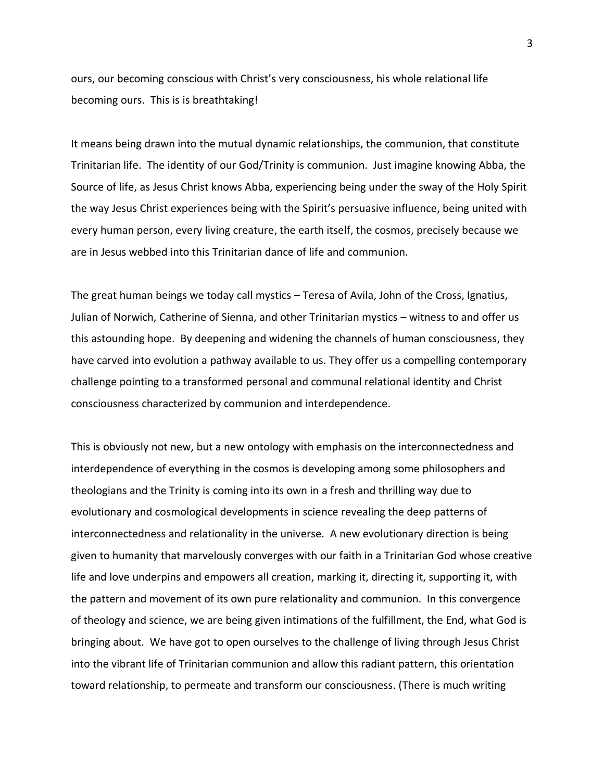ours, our becoming conscious with Christ's very consciousness, his whole relational life becoming ours. This is is breathtaking!

It means being drawn into the mutual dynamic relationships, the communion, that constitute Trinitarian life. The identity of our God/Trinity is communion. Just imagine knowing Abba, the Source of life, as Jesus Christ knows Abba, experiencing being under the sway of the Holy Spirit the way Jesus Christ experiences being with the Spirit's persuasive influence, being united with every human person, every living creature, the earth itself, the cosmos, precisely because we are in Jesus webbed into this Trinitarian dance of life and communion.

The great human beings we today call mystics – Teresa of Avila, John of the Cross, Ignatius, Julian of Norwich, Catherine of Sienna, and other Trinitarian mystics – witness to and offer us this astounding hope. By deepening and widening the channels of human consciousness, they have carved into evolution a pathway available to us. They offer us a compelling contemporary challenge pointing to a transformed personal and communal relational identity and Christ consciousness characterized by communion and interdependence.

This is obviously not new, but a new ontology with emphasis on the interconnectedness and interdependence of everything in the cosmos is developing among some philosophers and theologians and the Trinity is coming into its own in a fresh and thrilling way due to evolutionary and cosmological developments in science revealing the deep patterns of interconnectedness and relationality in the universe. A new evolutionary direction is being given to humanity that marvelously converges with our faith in a Trinitarian God whose creative life and love underpins and empowers all creation, marking it, directing it, supporting it, with the pattern and movement of its own pure relationality and communion. In this convergence of theology and science, we are being given intimations of the fulfillment, the End, what God is bringing about. We have got to open ourselves to the challenge of living through Jesus Christ into the vibrant life of Trinitarian communion and allow this radiant pattern, this orientation toward relationship, to permeate and transform our consciousness. (There is much writing